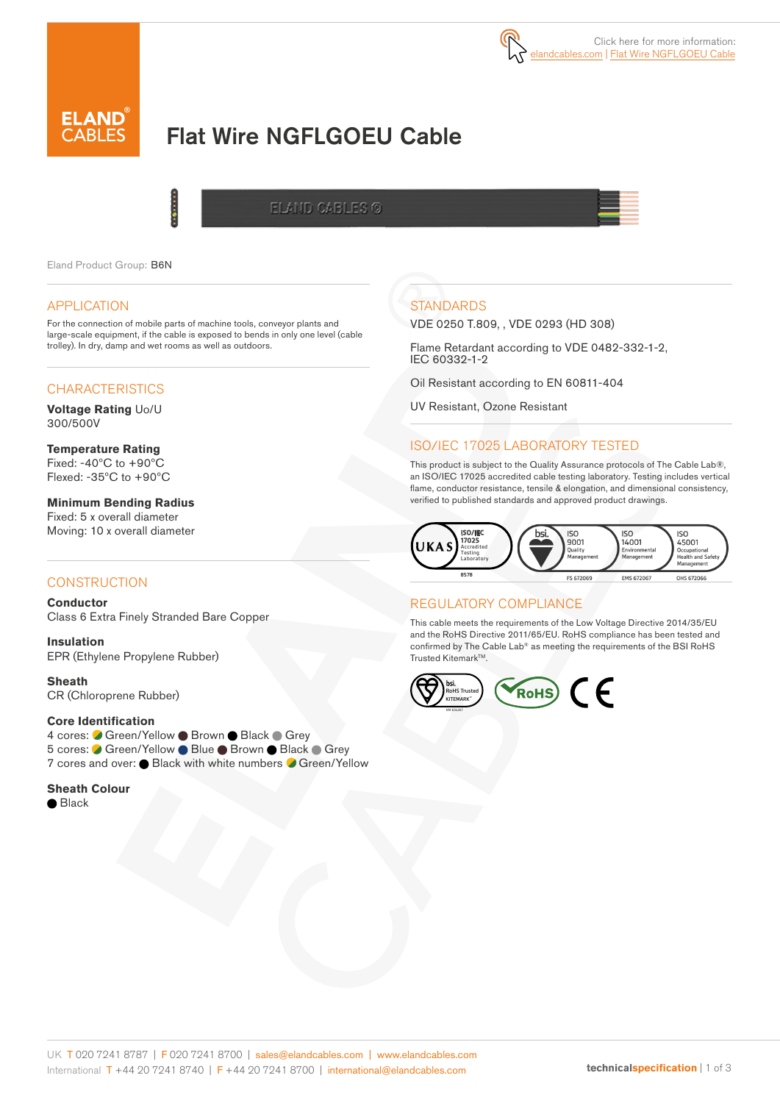# Flat Wire NGFLGOEU Cable

ELAND CABLES ©

Eland Product Group: B6N

#### APPLICATION

For the connection of mobile parts of machine tools, conveyor plants and large-scale equipment, if the cable is exposed to bends in only one level (cable trolley). In dry, damp and wet rooms as well as outdoors.

į

## **CHARACTERISTICS**

**Voltage Rating** Uo/U 300/500V

**Temperature Rating** Fixed: -40ºC to +90ºC Flexed: -35ºC to +90ºC

**Minimum Bending Radius**  Fixed: 5 x overall diameter Moving: 10 x overall diameter

## **CONSTRUCTION**

**Conductor** Class 6 Extra Finely Stranded Bare Copper

**Insulation** EPR (Ethylene Propylene Rubber)

**Sheath** CR (Chloroprene Rubber)

#### **Core Identification**

4 cores: Green/Yellow Brown Black Grey 5 cores: ● Green/Yellow ● Blue ● Brown ● Black ● Grey 7 cores and over:  $\bullet$  Black with white numbers  $\bullet$  Green/Yellow

**Sheath Colour**

Black

# **STANDARDS**

VDE 0250 T.809, , VDE 0293 (HD 308)

Flame Retardant according to VDE 0482-332-1-2, IEC 60332-1-2

Oil Resistant according to EN 60811-404

UV Resistant, Ozone Resistant

### ISO/IEC 17025 LABORATORY TESTED

This product is subject to the Quality Assurance protocols of The Cable Lab®, an ISO/IEC 17025 accredited cable testing laboratory. Testing includes vertical flame, conductor resistance, tensile & elongation, and dimensional consistency, verified to published standards and approved product drawings.



#### REGULATORY COMPLIANCE

This cable meets the requirements of the Low Voltage Directive 2014/35/EU and the RoHS Directive 2011/65/EU. RoHS compliance has been tested and confirmed by The Cable Lab® as meeting the requirements of the BSI RoHS Trusted Kitemark™.

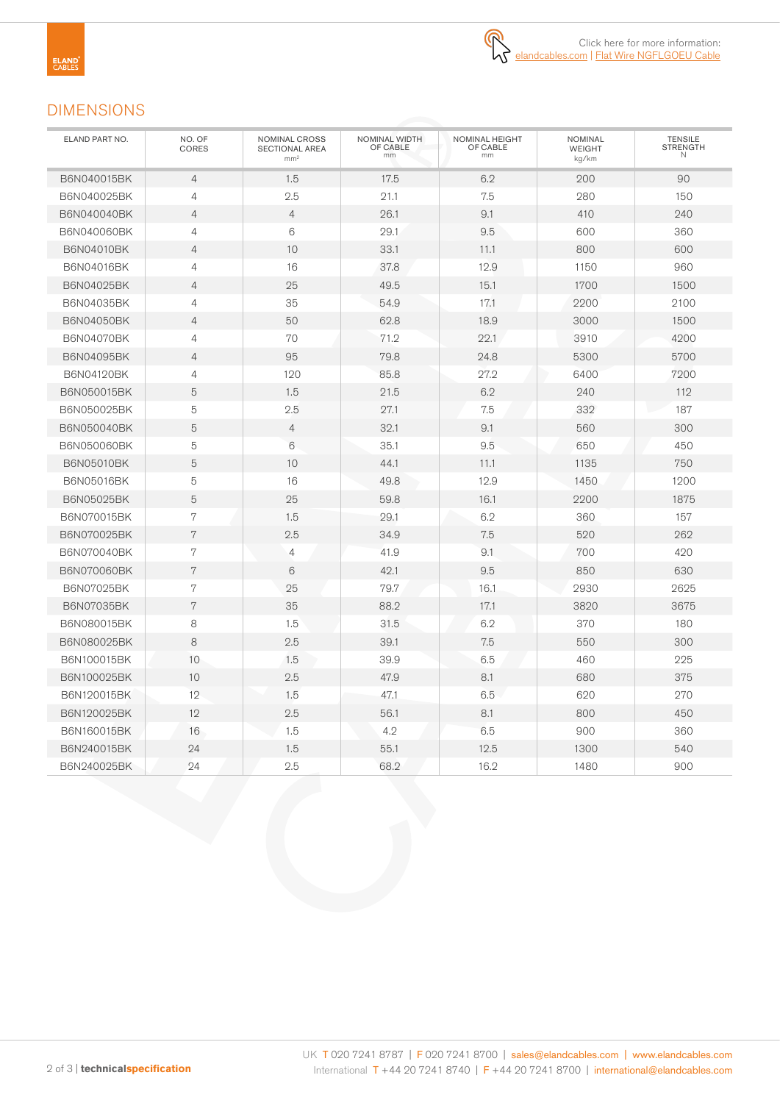# DIMENSIONS

| ELAND PART NO.    | NO. OF<br><b>CORES</b> | NOMINAL CROSS<br><b>SECTIONAL AREA</b><br>mm <sup>2</sup> | NOMINAL WIDTH<br>OF CABLE<br>mm | NOMINAL HEIGHT<br>OF CABLE<br>mm | <b>NOMINAL</b><br><b>WEIGHT</b><br>kg/km | <b>TENSILE</b><br><b>STRENGTH</b><br>N |
|-------------------|------------------------|-----------------------------------------------------------|---------------------------------|----------------------------------|------------------------------------------|----------------------------------------|
| B6N040015BK       | $\overline{4}$         | 1.5                                                       | 17.5                            | 6.2                              | 200                                      | 90                                     |
| B6N040025BK       | $\overline{4}$         | 2.5                                                       | 21.1                            | 7.5                              | 280                                      | 150                                    |
| B6N040040BK       | $\overline{4}$         | $\overline{4}$                                            | 26.1                            | 9.1                              | 410                                      | 240                                    |
| B6N040060BK       | $\overline{4}$         | 6                                                         | 29.1                            | 9.5                              | 600                                      | 360                                    |
| B6N04010BK        | $\overline{4}$         | 10                                                        | 33.1                            | 11.1                             | 800                                      | 600                                    |
| B6N04016BK        | $\overline{4}$         | 16                                                        | 37.8                            | 12.9                             | 1150                                     | 960                                    |
| B6N04025BK        | $\overline{4}$         | 25                                                        | 49.5                            | 15.1                             | 1700                                     | 1500                                   |
| B6N04035BK        | $\overline{4}$         | 35                                                        | 54.9                            | 17.1                             | 2200                                     | 2100                                   |
| <b>B6N04050BK</b> | $\overline{4}$         | 50                                                        | 62.8                            | 18.9                             | 3000                                     | 1500                                   |
| B6N04070BK        | $\overline{4}$         | 70                                                        | 71.2                            | 22.1                             | 3910                                     | 4200                                   |
| B6N04095BK        | $\overline{4}$         | 95                                                        | 79.8                            | 24.8                             | 5300                                     | 5700                                   |
| B6N04120BK        | $\overline{4}$         | 120                                                       | 85.8                            | 27.2                             | 6400                                     | 7200                                   |
| B6N050015BK       | 5                      | 1.5                                                       | 21.5                            | 6.2                              | 240                                      | 112                                    |
| B6N050025BK       | 5                      | 2.5                                                       | 27.1                            | 7.5                              | 332                                      | 187                                    |
| B6N050040BK       | 5                      | $\overline{4}$                                            | 32.1                            | 9.1                              | 560                                      | 300                                    |
| B6N050060BK       | 5                      | 6                                                         | 35.1                            | 9.5                              | 650                                      | 450                                    |
| B6N05010BK        | 5                      | 10                                                        | 44.1                            | 11.1                             | 1135                                     | 750                                    |
| B6N05016BK        | $\mathbf 5$            | 16                                                        | 49.8                            | 12.9                             | 1450                                     | 1200                                   |
| B6N05025BK        | 5                      | 25                                                        | 59.8                            | 16.1                             | 2200                                     | 1875                                   |
| B6N070015BK       | 7                      | 1.5                                                       | 29.1                            | 6.2                              | 360                                      | 157                                    |
| B6N070025BK       | 7                      | 2.5                                                       | 34.9                            | 7.5                              | 520                                      | 262                                    |
| B6N070040BK       | 7                      | $\overline{4}$                                            | 41.9                            | 9.1                              | 700                                      | 420                                    |
| B6N070060BK       | 7                      | 6                                                         | 42.1                            | 9.5                              | 850                                      | 630                                    |
| B6N07025BK        | $\overline{7}$         | 25                                                        | 79.7                            | 16.1                             | 2930                                     | 2625                                   |
| <b>B6N07035BK</b> | $\overline{7}$         | 35                                                        | 88.2                            | 17.1                             | 3820                                     | 3675                                   |
| B6N080015BK       | 8                      | 1.5                                                       | 31.5                            | 6.2                              | 370                                      | 180                                    |
| B6N080025BK       | 8                      | 2.5                                                       | 39.1                            | 7.5                              | 550                                      | 300                                    |
| B6N100015BK       | 10                     | 1.5                                                       | 39.9                            | 6.5                              | 460                                      | 225                                    |
| B6N100025BK       | 10                     | 2.5                                                       | 47.9                            | 8.1                              | 680                                      | 375                                    |
| B6N120015BK       | 12                     | 1.5                                                       | 47.1                            | 6.5                              | 620                                      | 270                                    |
| B6N120025BK       | 12                     | 2.5                                                       | 56.1                            | 8.1                              | 800                                      | 450                                    |
| B6N160015BK       | 16                     | 1.5                                                       | 4.2                             | 6.5                              | 900                                      | 360                                    |
| B6N240015BK       | 24                     | 1.5                                                       | 55.1                            | 12.5                             | 1300                                     | 540                                    |
| B6N240025BK       | 24                     | 2.5                                                       | 68.2                            | 16.2                             | 1480                                     | 900                                    |